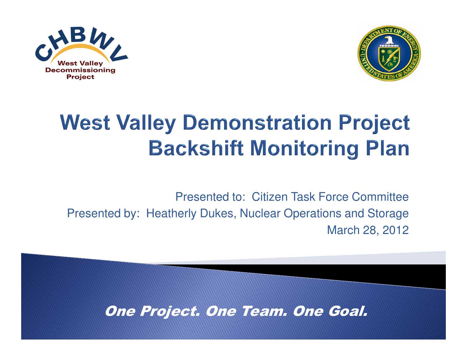



## **West Valley Demonstration Project Backshift Monitoring Plan**

Presented to: Citizen Task Force CommitteePresented by: Heatherly Dukes, Nuclear Operations and StorageMarch 28, 2012

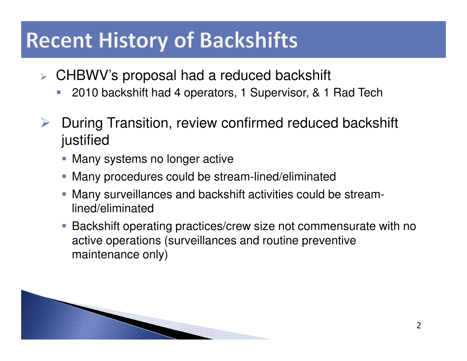## **Recent History of Backshifts**

- CHBWV's proposal had a reduced backshift
	- -2010 backshift had 4 operators, 1 Supervisor, & 1 Rad Tech
- $\blacktriangleright$  During Transition, review confirmed reduced backshift justified
	- Many systems no longer active
	- **Many procedures could be stream-lined/eliminated**
	- Many surveillances and backshift activities could be streamlined/eliminated
	- Backshift operating practices/crew size not commensurate with no active operations (surveillances and routine preventive maintenance only)

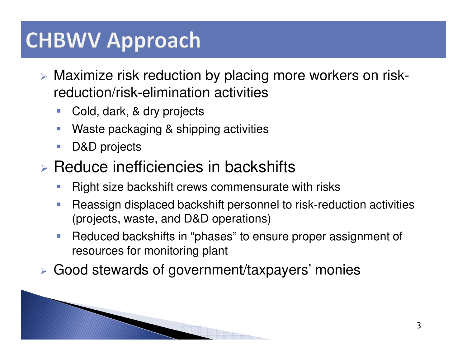## **CHBWV Approach**

- Maximize risk reduction by placing more workers on riskreduction/risk-elimination activities
	- -Cold, dark, & dry projects
	- -Waste packaging & shipping activities
	- -D&D projects
- $\triangleright$  Reduce inefficiencies in backshifts
	- -Right size backshift crews commensurate with risks
	- - Reassign displaced backshift personnel to risk-reduction activities (projects, waste, and D&D operations)
	- - Reduced backshifts in "phases" to ensure proper assignment of resources for monitoring plant
- Good stewards of government/taxpayers' monies